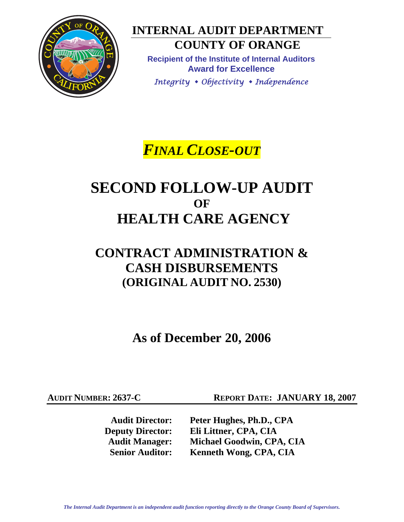

**INTERNAL AUDIT DEPARTMENT COUNTY OF ORANGE** 

**Recipient of the Institute of Internal Auditors Award for Excellence** 

*Integrity Objectivity Independence*

*FINAL CLOSE-OUT*

## **SECOND FOLLOW-UP AUDIT OF HEALTH CARE AGENCY**

### **CONTRACT ADMINISTRATION & CASH DISBURSEMENTS (ORIGINAL AUDIT NO. 2530)**

**As of December 20, 2006** 

**AUDIT NUMBER: 2637-C REPORT DATE: JANUARY 18, 2007** 

**Audit Director: Peter Hughes, Ph.D., CPA Deputy Director: Eli Littner, CPA, CIA Audit Manager: Michael Goodwin, CPA, CIA Senior Auditor: Kenneth Wong, CPA, CIA**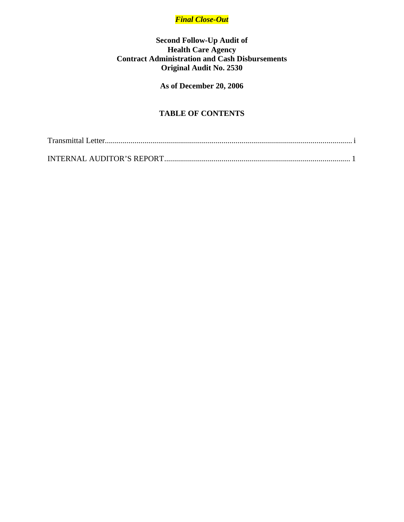### *Final Close-Out*

#### **Second Follow-Up Audit of Health Care Agency Contract Administration and Cash Disbursements Original Audit No. 2530**

### **As of December 20, 2006**

### **TABLE OF CONTENTS**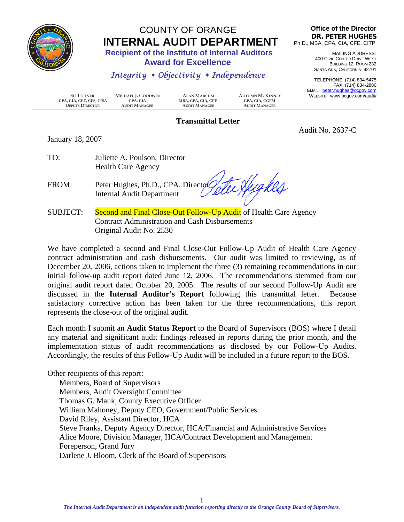<span id="page-2-0"></span>

# COUNTY OF ORANGE **INTERNAL AUDIT DEPARTMENT**<br>Recipient of the Institute of Internal Auditors

 **Award for Excellence** 

### *Integrity Objectivity Independence*

**Office of the Director DR. PETER HUGHES** Ph.D., MBA, CPA, CIA, CFE, CITP

> MAILING ADDRESS: 400 CIVIC CENTER DRIVE WEST BUILDING 12, ROOM 232 SANTA ANA, CALIFORNIA 92701

TELEPHONE: (714) 834-5475 FAX: (714) 834-2880 EMAIL: peter.hughes@ocgov.com WEBSITE: www.ocgov.com/audit/

Audit No. 2637-C

 **ELI LITTNER MICHAEL J. GOODWIN ALAN MARCUM AUTUMN MCKINNEY CPA, CIA, CFE, CFS, CISA CPA, CIA MBA, CPA, CIA, CFE CPA, CIA, CGFM**  $D$ EPUTY  $D$ IRECTOR

#### **Transmittal Letter**

January 18, 2007

| TO: | Juliette A. Poulson, Director |
|-----|-------------------------------|
|     | <b>Health Care Agency</b>     |

te Hygkes FROM: Peter Hughes, Ph.D., CPA, Director Internal Audit Department

SUBJECT: Second and Final Close-Out Follow-Up Audit of Health Care Agency Contract Administration and Cash Disbursements Original Audit No. 2530

We have completed a second and Final Close-Out Follow-Up Audit of Health Care Agency contract administration and cash disbursements. Our audit was limited to reviewing, as of December 20, 2006, actions taken to implement the three (3) remaining recommendations in our initial follow-up audit report dated June 12, 2006. The recommendations stemmed from our original audit report dated October 20, 2005. The results of our second Follow-Up Audit are discussed in the **Internal Auditor's Report** following this transmittal letter. Because satisfactory corrective action has been taken for the three recommendations, this report represents the close-out of the original audit.

Each month I submit an **Audit Status Report** to the Board of Supervisors (BOS) where I detail any material and significant audit findings released in reports during the prior month, and the implementation status of audit recommendations as disclosed by our Follow-Up Audits. Accordingly, the results of this Follow-Up Audit will be included in a future report to the BOS.

Other recipients of this report: Members, Board of Supervisors Members, Audit Oversight Committee Thomas G. Mauk, County Executive Officer William Mahoney, Deputy CEO, Government/Public Services David Riley, Assistant Director, HCA Steve Franks, Deputy Agency Director, HCA/Financial and Administrative Services Alice Moore, Division Manager, HCA/Contract Development and Management Foreperson, Grand Jury Darlene J. Bloom, Clerk of the Board of Supervisors